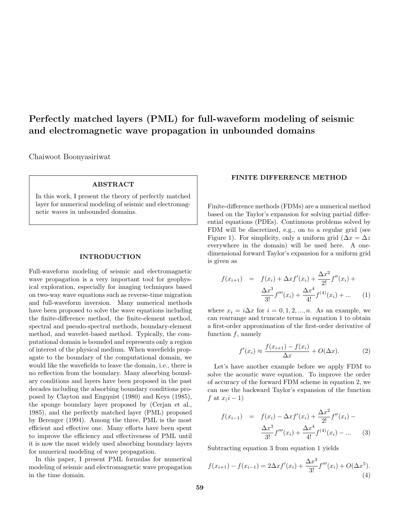# Perfectly matched layers (PML) for full-waveform modeling of seismic and electromagnetic wave propagation in unbounded domains

Chaiwoot Boonyasiriwat

## ABSTRACT

In this work, I present the theory of perfectly matched layer for numerical modeling of seismic and electromagnetic waves in unbounded domains.

## INTRODUCTION

Full-waveform modeling of seismic and electromagnetic wave propagation is a very important tool for geophysical exploration, especially for imaging techniques based on two-way wave equations such as reverse-time migration and full-waveform inversion. Many numerical methods have been proposed to solve the wave equations including the finite-difference method, the finite-element method, spectral and pseudo-spectral methods, boundary-element method, and wavelet-based method. Typically, the computational domain is bounded and represents only a region of interest of the physical medium. When wavefields propagate to the boundary of the computational domain, we would like the wavefields to leave the domain, i.e., there is no reflection from the boundary. Many absorbing boundary conditions and layers have been proposed in the past decades including the absorbing boundary conditions proposed by Clayton and Engquist (1980) and Keys (1985), the sponge boundary layer proposed by (Cerjan et al., 1985), and the perfectly matched layer (PML) proposed by Berenger (1994). Among the three, PML is the most efficient and effective one. Many efforts have been spent to improve the efficiency and effectiveness of PML until it is now the most widely used absorbing boundary layers for numerical modeling of wave propagation.

In this paper, I present PML formulas for numerical modeling of seismic and electromagnetic wave propagation in the time domain.

#### FINITE DIFFERENCE METHOD

Finite-difference methods (FDMs) are a numerical method based on the Taylor's expansion for solving partial differential equations (PDEs). Continuous problems solved by FDM will be discretized, e.g., on to a regular grid (see Figure 1). For simplicity, only a uniform grid ( $\Delta x = \Delta z$ ) everywhere in the domain) will be used here. A onedimensional forward Taylor's expansion for a uniform grid is given as

$$
f(x_{i+1}) = f(x_i) + \Delta x f'(x_i) + \frac{\Delta x^2}{2!} f''(x_i) + \frac{\Delta x^3}{3!} f'''(x_i) + \frac{\Delta x^4}{4!} f^{(4)}(x_i) + \dots
$$
 (1)

where  $x_i = i\Delta x$  for  $i = 0, 1, 2, ..., n$ . As an example, we can rearrange and truncate terms in equation 1 to obtain a first-order approximation of the first-order derivative of function  $f$ , namely

$$
f'(x_i) \approx \frac{f(x_{i+1}) - f(x_i)}{\Delta x} + O(\Delta x). \tag{2}
$$

Let's have another example before we apply FDM to solve the acoustic wave equation. To improve the order of accuracy of the forward FDM scheme in equation 2, we can use the backward Taylor's expansion of the function f at  $x(i-1)$ 

$$
f(x_{i-1}) = f(x_i) - \Delta x f'(x_i) + \frac{\Delta x^2}{2!} f''(x_i) - \frac{\Delta x^3}{3!} f'''(x_i) + \frac{\Delta x^4}{4!} f^{(4)}(x_i) - \dots
$$
 (3)

Subtracting equation 3 from equation 1 yields

$$
f(x_{i+1}) - f(x_{i-1}) = 2\Delta x f'(x_i) + \frac{\Delta x^3}{3!} f'''(x_i) + O(\Delta x^5).
$$
\n(4)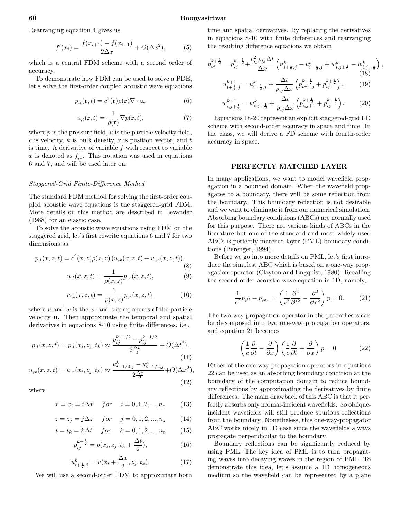#### 60 Boonyasiriwat

Rearranging equation 4 gives us

$$
f'(x_i) = \frac{f(x_{i+1}) - f(x_{i-1})}{2\Delta x} + O(\Delta x^2),\tag{5}
$$

which is a central FDM scheme with a second order of accuracy.

To demonstrate how FDM can be used to solve a PDE, let's solve the first-order coupled acoustic wave equations

$$
p_{,t}(\mathbf{r},t) = c^2(\mathbf{r})\rho(\mathbf{r})\nabla \cdot \mathbf{u},\tag{6}
$$

$$
u_{,t}(\mathbf{r},t) = \frac{1}{\rho(\mathbf{r})} \nabla p(\mathbf{r},t),\tag{7}
$$

where  $p$  is the pressure field,  $u$  is the particle velocity field, c is velocity,  $\kappa$  is bulk density, **r** is position vector, and t is time. A derivative of variable  $f$  with respect to variable x is denoted as  $f_{x}$ . This notation was used in equations 6 and 7, and will be used later on.

#### Staggered-Grid Finite-Difference Method

The standard FDM method for solving the first-order coupled acoustic wave equations is the staggered-grid FDM. More details on this method are described in Levander (1988) for an elastic case.

To solve the acoustic wave equations using FDM on the staggered grid, let's first rewrite equations 6 and 7 for two dimensions as

$$
p_{,t}(x,z,t) = c^2(x,z)\rho(x,z) \left( u_{,x}(x,z,t) + w_{,z}(x,z,t) \right),\tag{8}
$$

$$
u_{,t}(x,z,t) = \frac{1}{\rho(x,z)} p_{,x}(x,z,t),
$$
 (9)

$$
w_{,t}(x,z,t) = \frac{1}{\rho(x,z)} p_{,z}(x,z,t),
$$
\n(10)

where u and w is the x- and z-components of the particle velocity u. Then approximate the temporal and spatial derivatives in equations 8-10 using finite differences, i.e.,

$$
p_{,t}(x, z, t) = p_{,t}(x_i, z_j, t_k) \approx \frac{p_{ij}^{k+1/2} - p_{ij}^{k-1/2}}{2\frac{\Delta t}{2}} + O(\Delta t^2),\tag{11}
$$

$$
u_{,x}(x,z,t) = u_{,x}(x_i,z_j,t_k) \approx \frac{u_{i+1/2,j}^k - u_{i-1/2,j}^k}{2\frac{\Delta x}{2}} + O(\Delta x^2),\tag{12}
$$

where

$$
x = x_i = i\Delta x \quad for \quad i = 0, 1, 2, ..., n_x \quad (13)
$$

$$
z=z_j=j\Delta z \quad \, for \quad \, j=0,1,2,...,n_z \qquad (14)
$$

$$
t = t_k = k\Delta t \quad for \quad k = 0, 1, 2, ..., n_t \quad (15)
$$

$$
p_{ij}^{k+\frac{1}{2}} = p(x_i, z_j, t_k + \frac{\Delta t}{2}),
$$
\n(16)

$$
u_{i+\frac{1}{2},j}^{k} = u(x_i + \frac{\Delta x}{2}, z_j, t_k).
$$
 (17)

We will use a second-order FDM to approximate both

time and spatial derivatives. By replacing the derivatives in equations 8-10 with finite differences and rearranging the resulting difference equations we obtain

 $\alpha$ 

$$
p_{ij}^{k+\frac{1}{2}} = p_{ij}^{k-\frac{1}{2}} + \frac{c_{ij}^2 \rho_{ij} \Delta t}{\Delta x} \left( u_{i+\frac{1}{2},j}^k - u_{i-\frac{1}{2},j}^k + w_{i,j+\frac{1}{2}}^k - w_{i,j-\frac{1}{2}}^k \right),
$$
\n
$$
u_{i+\frac{1}{2},j}^{k+1} = u_{i+\frac{1}{2},j}^k + \frac{\Delta t}{\rho_{ij} \Delta x} \left( p_{i+1,j}^{k+\frac{1}{2}} + p_{ij}^{k+\frac{1}{2}} \right),
$$
\n(19)

$$
w_{i,j+\frac{1}{2}}^{k+1} = w_{i,j+\frac{1}{2}}^k + \frac{\Delta t}{\rho_{ij}\Delta x} \left( p_{i,j+1}^{k+\frac{1}{2}} + p_{ij}^{k+\frac{1}{2}} \right). \tag{20}
$$

Equations 18-20 represent an explicit staggered-grid FD scheme with second-order accuracy in space and time. In the class, we will derive a FD scheme with fourth-order accuracy in space.

#### PERFECTLY MATCHED LAYER

In many applications, we want to model wavefield propagation in a bounded domain. When the wavefield propagates to a boundary, there will be some reflection from the boundary. This boundary reflection is not desirable and we want to eliminate it from our numerical simulation. Absorbing boundary conditions (ABCs) are normally used for this purpose. There are various kinds of ABCs in the literature but one of the standard and most widely used ABCs is perfectly matched layer (PML) boundary conditions (Berenger, 1994).

Before we go into more details on PML, let's first introduce the simplest ABC which is based on a one-way propagation operator (Clayton and Engquist, 1980). Recalling the second-order acoustic wave equation in 1D, namely,

$$
\frac{1}{c^2}p_{,tt} - p_{,xx} = \left(\frac{1}{c^2}\frac{\partial^2}{\partial t^2} - \frac{\partial^2}{\partial x^2}\right)p = 0.
$$
 (21)

The two-way propagation operator in the parentheses can be decomposed into two one-way propagation operators, and equation 21 becomes

$$
\left(\frac{1}{c}\frac{\partial}{\partial t} - \frac{\partial}{\partial x}\right)\left(\frac{1}{c}\frac{\partial}{\partial t} + \frac{\partial}{\partial x}\right)p = 0.
$$
 (22)

Either of the one-way propagation operators in equations 22 can be used as an absorbing boundary condition at the boundary of the computation domain to reduce boundary reflections by approximating the derivatives by finite differences. The main drawback of this ABC is that it perfectly absorbs only normal-incident wavefields. So obliqueincident wavefields will still produce spurious reflections from the boundary. Nonetheless, this one-way-propagator ABC works nicely in 1D case since the wavefields always propagate perpendicular to the boundary.

Boundary reflections can be significantly reduced by using PML. The key idea of PML is to turn propagating waves into decaying waves in the region of PML. To demonstrate this idea, let's assume a 1D homogeneous medium so the wavefield can be represented by a plane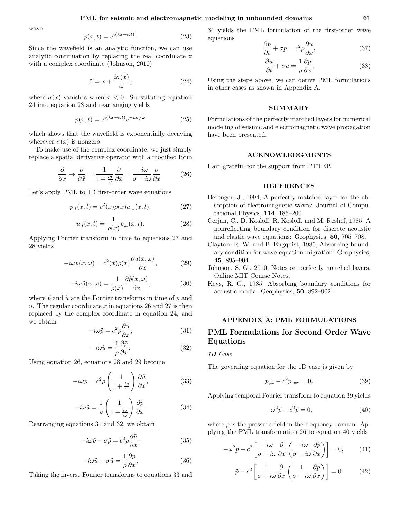wave

$$
p(x,t) = e^{i(kx - \omega t)}.
$$
\n(23)

Since the wavefield is an analytic function, we can use analytic continuation by replacing the real coordinate x with a complex coordinate (Johnson, 2010)

$$
\tilde{x} = x + \frac{i\sigma(x)}{\omega},\tag{24}
$$

where  $\sigma(x)$  vanishes when  $x < 0$ . Substituting equation 24 into equation 23 and rearranging yields

$$
p(x,t) = e^{i(kx - \omega t)}e^{-k\sigma/\omega}
$$
\n(25)

which shows that the wavefield is exponentially decaying wherever  $\sigma(x)$  is nonzero.

To make use of the complex coordinate, we just simply replace a spatial derivative operator with a modified form

$$
\frac{\partial}{\partial x} \to \frac{\partial}{\partial \tilde{x}} = \frac{1}{1 + \frac{i\sigma}{\omega}} \frac{\partial}{\partial x} = \frac{-i\omega}{\sigma - i\omega} \frac{\partial}{\partial x}.
$$
 (26)

Let's apply PML to 1D first-order wave equations

$$
p_{,t}(x,t) = c^2(x)\rho(x)u_{,x}(x,t),
$$
\n(27)

$$
u_{,t}(x,t) = \frac{1}{\rho(x)} p_{,x}(x,t).
$$
 (28)

Applying Fourier transform in time to equations 27 and 28 yields

$$
-i\omega \tilde{p}(x,\omega) = c^2(x)\rho(x)\frac{\partial u(x,\omega)}{\partial x},\qquad(29)
$$

$$
-i\omega \tilde{u}(x,\omega) = \frac{1}{\rho(x)} \frac{\partial \tilde{p}(x,\omega)}{\partial x},\tag{30}
$$

where  $\tilde{p}$  and  $\tilde{u}$  are the Fourier transforms in time of p and u. The regular coordinate x in equations 26 and 27 is then replaced by the complex coordinate in equation 24, and we obtain

$$
-i\omega \tilde{p} = c^2 \rho \frac{\partial \tilde{u}}{\partial \tilde{x}},\qquad(31)
$$

$$
-i\omega \tilde{u} = -\frac{1}{\rho} \frac{\partial \tilde{p}}{\partial \tilde{x}}.
$$
 (32)

Using equation 26, equations 28 and 29 become

$$
-i\omega \tilde{p} = c^2 \rho \left(\frac{1}{1 + \frac{i\sigma}{\omega}}\right) \frac{\partial \tilde{u}}{\partial x},\tag{33}
$$

$$
-i\omega \tilde{u} = \frac{1}{\rho} \left( \frac{1}{1 + \frac{i\sigma}{\omega}} \right) \frac{\partial \tilde{p}}{\partial x}.
$$
 (34)

Rearranging equations 31 and 32, we obtain

$$
-i\omega \tilde{p} + \sigma \tilde{p} = c^2 \rho \frac{\partial \tilde{u}}{\partial x},\tag{35}
$$

$$
-i\omega \tilde{u} + \sigma \tilde{u} = -\frac{1}{\rho} \frac{\partial \tilde{p}}{\partial x}.
$$
 (36)

Taking the inverse Fourier transforms to equations 33 and

34 yields the PML formulation of the first-order wave equations ∂p ∂u

$$
\frac{\partial p}{\partial t} + \sigma p = c^2 \rho \frac{\partial u}{\partial x},\tag{37}
$$

$$
\frac{\partial u}{\partial t} + \sigma u = \frac{1}{\rho} \frac{\partial p}{\partial x},\tag{38}
$$

Using the steps above, we can derive PML formulations in other cases as shown in Appendix A.

## SUMMARY

Formulations of the perfectly matched layers for numerical modeling of seismic and electromagnetic wave propagation have been presented.

#### ACKNOWLEDGMENTS

I am grateful for the support from PTTEP.

#### REFERENCES

- Berenger, J., 1994, A perfectly matched layer for the absorption of electromagnetic waves: Journal of Computational Physics, 114, 185–200.
- Cerjan, C., D. Kosloff, R. Kosloff, and M. Reshef, 1985, A nonreflecting boundary condition for discrete acoustic and elastic wave equations: Geophysics, 50, 705–708.
- Clayton, R. W. and B. Engquist, 1980, Absorbing boundary condition for wave-equation migration: Geophysics, 45, 895–904.
- Johnson, S. G., 2010, Notes on perfectly matched layers. Online MIT Course Notes.
- Keys, R. G., 1985, Absorbing boundary conditions for acoustic media: Geophysics, 50, 892–902.

#### APPENDIX A: PML FORMULATIONS

## PML Formulations for Second-Order Wave Equations

#### 1D Case

The governing equation for the 1D case is given by

$$
p_{,tt} - c^2 p_{,xx} = 0.
$$
 (39)

Applying temporal Fourier transform to equation 39 yields

$$
-\omega^2 \tilde{p} - c^2 \tilde{p} = 0,\t\t(40)
$$

where  $\tilde{p}$  is the pressure field in the frequency domain. Applying the PML transformation 26 to equation 40 yields

$$
-\omega^2 \tilde{p} - c^2 \left[ \frac{-i\omega}{\sigma - i\omega} \frac{\partial}{\partial x} \left( \frac{-i\omega}{\sigma - i\omega} \frac{\partial \tilde{p}}{\partial x} \right) \right] = 0, \quad (41)
$$

$$
\tilde{p} - c^2 \left[ \frac{1}{\sigma - i\omega} \frac{\partial}{\partial x} \left( \frac{1}{\sigma - i\omega} \frac{\partial \tilde{p}}{\partial x} \right) \right] = 0. \quad (42)
$$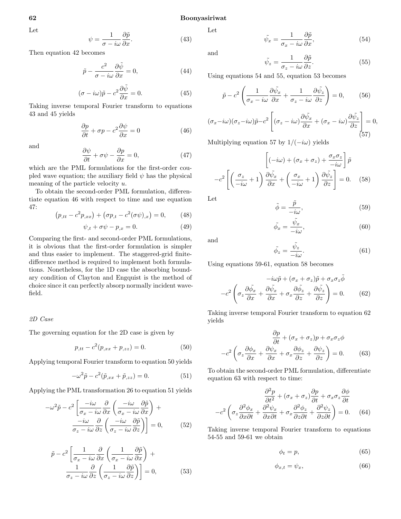Let

$$
\psi = \frac{1}{\sigma - i\omega} \frac{\partial \tilde{p}}{\partial x}.
$$
\n(43)

Then equation 42 becomes

$$
\tilde{p} - \frac{c^2}{\sigma - i\omega} \frac{\partial \tilde{\psi}}{\partial x} = 0,\tag{44}
$$

$$
(\sigma - i\omega)\tilde{p} - c^2 \frac{\partial \tilde{\psi}}{\partial x} = 0.
$$
 (45)

Taking inverse temporal Fourier transform to equations 43 and 45 yields

$$
\frac{\partial p}{\partial t} + \sigma p - c^2 \frac{\partial \psi}{\partial x} = 0 \tag{46}
$$

and  $\partial \psi$ 

$$
\frac{\partial \psi}{\partial t} + \sigma \psi - \frac{\partial p}{\partial x} = 0, \tag{47}
$$

which are the PML formulations for the first-order coupled wave equation; the auxiliary field  $\psi$  has the physical meaning of the particle velocity u.

To obtain the second-order PML formulation, differentiate equation 46 with respect to time and use equation 47:

$$
(p_{,tt} - c^2 p_{,xx}) + (\sigma p_{,t} - c^2 (\sigma \psi)_{,x}) = 0, \qquad (48)
$$

$$
\psi_{,t} + \sigma \psi - p_{,x} = 0. \tag{49}
$$

Comparing the first- and second-order PML formulations, it is obvious that the first-order formulation is simpler and thus easier to implement. The staggered-grid finitedifference method is required to implement both formulations. Nonetheless, for the 1D case the absorbing boundary condition of Clayton and Engquist is the method of choice since it can perfectly absorp normally incident wavefield.

#### 2D Case

The governing equation for the 2D case is given by

$$
p_{,tt} - c^2(p_{,xx} + p_{,zz}) = 0.
$$
 (50)

Applying temporal Fourier transform to equation 50 yields

$$
-\omega^2 \tilde{p} - c^2 (\tilde{p}_{,xx} + \tilde{p}_{,zz}) = 0.
$$
 (51)

Applying the PML transformation 26 to equation 51 yields

$$
-\omega^2 \tilde{p} - c^2 \left[ \frac{-i\omega}{\sigma_x - i\omega} \frac{\partial}{\partial x} \left( \frac{-i\omega}{\sigma_x - i\omega} \frac{\partial \tilde{p}}{\partial x} \right) + \frac{-i\omega}{\sigma_z - i\omega} \frac{\partial}{\partial z} \left( \frac{-i\omega}{\sigma_z - i\omega} \frac{\partial \tilde{p}}{\partial z} \right) \right] = 0, \quad (52)
$$

$$
\tilde{p} - c^2 \left[ \frac{1}{\sigma_x - i\omega} \frac{\partial}{\partial x} \left( \frac{1}{\sigma_x - i\omega} \frac{\partial \tilde{p}}{\partial x} \right) + \frac{1}{\sigma_z - i\omega} \frac{\partial}{\partial z} \left( \frac{1}{\sigma_z - i\omega} \frac{\partial \tilde{p}}{\partial z} \right) \right] = 0, \quad (53)
$$

Let

$$
\tilde{\psi}_x = \frac{1}{\sigma_x - i\omega} \frac{\partial \tilde{p}}{\partial x},\tag{54}
$$

and

$$
\tilde{\psi}_z = \frac{1}{\sigma_z - i\omega} \frac{\partial \tilde{p}}{\partial z}.
$$
\n(55)

Using equations 54 and 55, equation 53 becomes

$$
\tilde{p} - c^2 \left( \frac{1}{\sigma_x - i\omega} \frac{\partial \tilde{\psi}_x}{\partial x} + \frac{1}{\sigma_z - i\omega} \frac{\partial \tilde{\psi}_z}{\partial z} \right) = 0, \quad (56)
$$

$$
(\sigma_x - i\omega)(\sigma_z - i\omega)\tilde{p} - c^2 \left[ (\sigma_z - i\omega)\frac{\partial \tilde{\psi}_x}{\partial x} + (\sigma_x - i\omega)\frac{\partial \tilde{\psi}_z}{\partial z} \right] = 0, \tag{57}
$$

Multiplying equation 57 by  $1/(-i\omega)$  yields

$$
\left[(-i\omega) + (\sigma_x + \sigma_z) + \frac{\sigma_x \sigma_z}{-i\omega}\right]\tilde{p}
$$

$$
-c^2 \left[\left(\frac{\sigma_z}{-i\omega} + 1\right) \frac{\partial \tilde{\psi}_x}{\partial x} + \left(\frac{\sigma_x}{-i\omega} + 1\right) \frac{\partial \tilde{\psi}_z}{\partial z}\right] = 0. \quad (58)
$$

Let

$$
\tilde{\phi} = \frac{\tilde{p}}{-i\omega},\tag{59}
$$

$$
\tilde{\phi}_x = \frac{\tilde{\psi}_x}{-i\omega},\tag{60}
$$

and

$$
\tilde{\phi}_z = \frac{\tilde{\psi}_z}{-i\omega}.\tag{61}
$$

Using equations 59-61, equation 58 becomes

$$
-i\omega \tilde{p} + (\sigma_x + \sigma_z)\tilde{p} + \sigma_x \sigma_z \tilde{\phi}
$$

$$
-c^2 \left(\sigma_z \frac{\partial \tilde{\phi}_x}{\partial x} + \frac{\partial \tilde{\phi}_x}{\partial x} + \sigma_x \frac{\partial \tilde{\phi}_z}{\partial z} + \frac{\partial \tilde{\phi}_z}{\partial z}\right) = 0.
$$
 (62)

Taking inverse temporal Fourier transform to equation 62 yields

$$
\frac{\partial p}{\partial t} + (\sigma_x + \sigma_z)p + \sigma_x \sigma_z \phi
$$

$$
-c^2 \left(\sigma_z \frac{\partial \phi_x}{\partial x} + \frac{\partial \psi_x}{\partial x} + \sigma_x \frac{\partial \phi_z}{\partial z} + \frac{\partial \psi_z}{\partial z}\right) = 0. \tag{63}
$$

To obtain the second-order PML formulation, differentiate equation 63 with respect to time:

$$
\frac{\partial^2 p}{\partial t^2} + (\sigma_x + \sigma_z) \frac{\partial p}{\partial t} + \sigma_x \sigma_z \frac{\partial \phi}{\partial t}
$$

$$
-c^2 \left(\sigma_z \frac{\partial^2 \phi_x}{\partial x \partial t} + \frac{\partial^2 \psi_x}{\partial x \partial t} + \sigma_x \frac{\partial^2 \phi_z}{\partial z \partial t} + \frac{\partial^2 \psi_z}{\partial z \partial t}\right) = 0. \quad (64)
$$

Taking inverse temporal Fourier transform to equations 54-55 and 59-61 we obtain

$$
\phi_t = p,\tag{65}
$$

$$
\phi_{x,t} = \psi_x,\tag{66}
$$